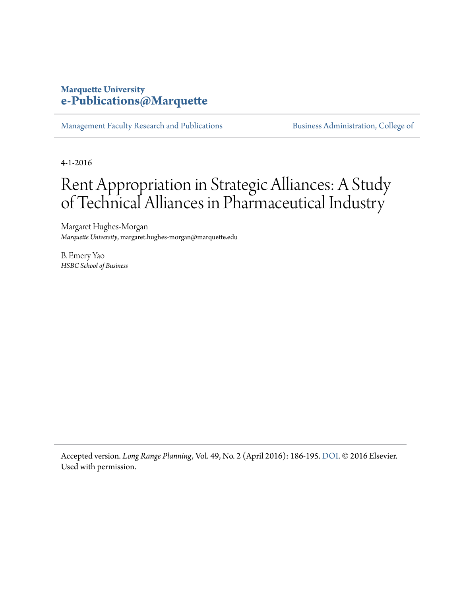## **Marquette University [e-Publications@Marquette](http://epublications.marquette.edu)**

[Management Faculty Research and Publications](http://epublications.marquette.edu/mgmt_fac) **Business Administration**, College of

4-1-2016

# Rent Appropriation in Strategic Alliances: A Study of Technical Alliances in Pharmaceutical Industry

Margaret Hughes-Morgan *Marquette University*, margaret.hughes-morgan@marquette.edu

B. Emery Yao *HSBC School of Business*

Accepted version. *Long Range Planning,* Vol. 49, No. 2 (April 2016): 186-195. [DOI.](http://dx.doi.org/10.1016/j.lrp.2015.12.016) © 2016 Elsevier. Used with permission.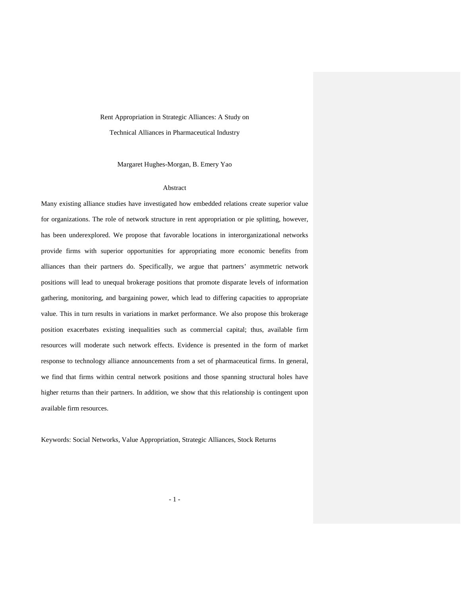### Rent Appropriation in Strategic Alliances: A Study on

#### Technical Alliances in Pharmaceutical Industry

Margaret Hughes-Morgan, B. Emery Yao

#### Abstract

Many existing alliance studies have investigated how embedded relations create superior value for organizations. The role of network structure in rent appropriation or pie splitting, however, has been underexplored. We propose that favorable locations in interorganizational networks provide firms with superior opportunities for appropriating more economic benefits from alliances than their partners do. Specifically, we argue that partners' asymmetric network positions will lead to unequal brokerage positions that promote disparate levels of information gathering, monitoring, and bargaining power, which lead to differing capacities to appropriate value. This in turn results in variations in market performance. We also propose this brokerage position exacerbates existing inequalities such as commercial capital; thus, available firm resources will moderate such network effects. Evidence is presented in the form of market response to technology alliance announcements from a set of pharmaceutical firms. In general, we find that firms within central network positions and those spanning structural holes have higher returns than their partners. In addition, we show that this relationship is contingent upon available firm resources.

Keywords: Social Networks, Value Appropriation, Strategic Alliances, Stock Returns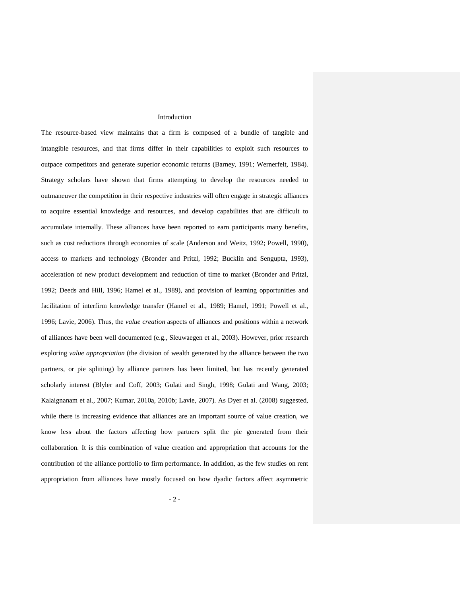#### Introduction

The resource-based view maintains that a firm is composed of a bundle of tangible and intangible resources, and that firms differ in their capabilities to exploit such resources to outpace competitors and generate superior economic returns (Barney, 1991; Wernerfelt, 1984). Strategy scholars have shown that firms attempting to develop the resources needed to outmaneuver the competition in their respective industries will often engage in strategic alliances to acquire essential knowledge and resources, and develop capabilities that are difficult to accumulate internally. These alliances have been reported to earn participants many benefits, such as cost reductions through economies of scale (Anderson and Weitz, 1992; Powell, 1990), access to markets and technology (Bronder and Pritzl, 1992; Bucklin and Sengupta, 1993), acceleration of new product development and reduction of time to market (Bronder and Pritzl, 1992; Deeds and Hill, 1996; Hamel et al., 1989), and provision of learning opportunities and facilitation of interfirm knowledge transfer (Hamel et al., 1989; Hamel, 1991; Powell et al., 1996; Lavie, 2006). Thus, the *value creation* aspects of alliances and positions within a network of alliances have been well documented (e.g., Sleuwaegen et al., 2003). However, prior research exploring *value appropriation* (the division of wealth generated by the alliance between the two partners, or pie splitting) by alliance partners has been limited, but has recently generated scholarly interest (Blyler and Coff, 2003; Gulati and Singh, 1998; Gulati and Wang, 2003; Kalaignanam et al., 2007; Kumar, 2010a, 2010b; Lavie, 2007). As Dyer et al. (2008) suggested, while there is increasing evidence that alliances are an important source of value creation, we know less about the factors affecting how partners split the pie generated from their collaboration. It is this combination of value creation and appropriation that accounts for the contribution of the alliance portfolio to firm performance. In addition, as the few studies on rent appropriation from alliances have mostly focused on how dyadic factors affect asymmetric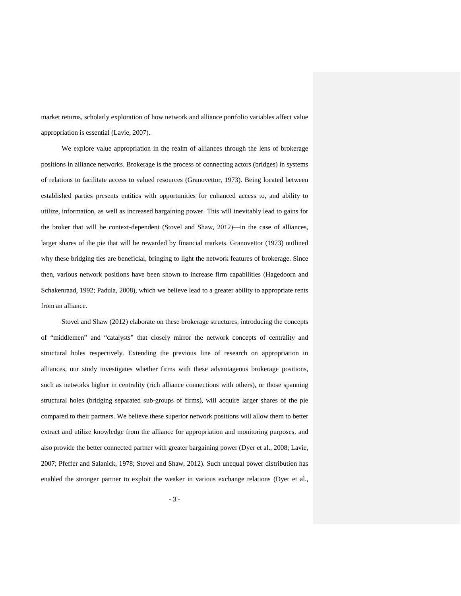market returns, scholarly exploration of how network and alliance portfolio variables affect value appropriation is essential (Lavie, 2007).

We explore value appropriation in the realm of alliances through the lens of brokerage positions in alliance networks. Brokerage is the process of connecting actors (bridges) in systems of relations to facilitate access to valued resources (Granovettor, 1973). Being located between established parties presents entities with opportunities for enhanced access to, and ability to utilize, information, as well as increased bargaining power. This will inevitably lead to gains for the broker that will be context-dependent (Stovel and Shaw, 2012)—in the case of alliances, larger shares of the pie that will be rewarded by financial markets. Granovettor (1973) outlined why these bridging ties are beneficial, bringing to light the network features of brokerage. Since then, various network positions have been shown to increase firm capabilities (Hagedoorn and Schakenraad, 1992; Padula, 2008), which we believe lead to a greater ability to appropriate rents from an alliance.

Stovel and Shaw (2012) elaborate on these brokerage structures, introducing the concepts of "middlemen" and "catalysts" that closely mirror the network concepts of centrality and structural holes respectively. Extending the previous line of research on appropriation in alliances, our study investigates whether firms with these advantageous brokerage positions, such as networks higher in centrality (rich alliance connections with others), or those spanning structural holes (bridging separated sub-groups of firms), will acquire larger shares of the pie compared to their partners. We believe these superior network positions will allow them to better extract and utilize knowledge from the alliance for appropriation and monitoring purposes, and also provide the better connected partner with greater bargaining power (Dyer et al., 2008; Lavie, 2007; Pfeffer and Salanick, 1978; Stovel and Shaw, 2012). Such unequal power distribution has enabled the stronger partner to exploit the weaker in various exchange relations (Dyer et al.,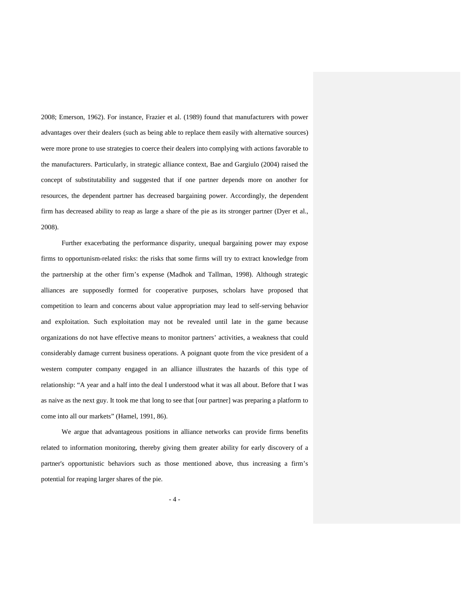2008; Emerson, 1962). For instance, Frazier et al. (1989) found that manufacturers with power advantages over their dealers (such as being able to replace them easily with alternative sources) were more prone to use strategies to coerce their dealers into complying with actions favorable to the manufacturers. Particularly, in strategic alliance context, Bae and Gargiulo (2004) raised the concept of substitutability and suggested that if one partner depends more on another for resources, the dependent partner has decreased bargaining power. Accordingly, the dependent firm has decreased ability to reap as large a share of the pie as its stronger partner (Dyer et al., 2008).

Further exacerbating the performance disparity, unequal bargaining power may expose firms to opportunism-related risks: the risks that some firms will try to extract knowledge from the partnership at the other firm's expense (Madhok and Tallman, 1998). Although strategic alliances are supposedly formed for cooperative purposes, scholars have proposed that competition to learn and concerns about value appropriation may lead to self-serving behavior and exploitation. Such exploitation may not be revealed until late in the game because organizations do not have effective means to monitor partners' activities, a weakness that could considerably damage current business operations. A poignant quote from the vice president of a western computer company engaged in an alliance illustrates the hazards of this type of relationship: "A year and a half into the deal I understood what it was all about. Before that I was as naive as the next guy. It took me that long to see that [our partner] was preparing a platform to come into all our markets" (Hamel, 1991, 86).

We argue that advantageous positions in alliance networks can provide firms benefits related to information monitoring, thereby giving them greater ability for early discovery of a partner's opportunistic behaviors such as those mentioned above, thus increasing a firm's potential for reaping larger shares of the pie.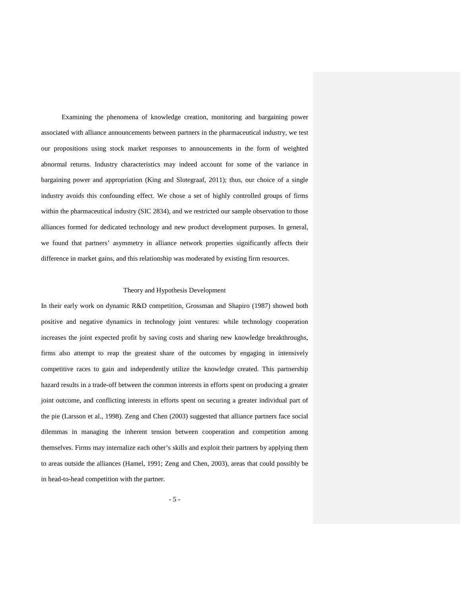Examining the phenomena of knowledge creation, monitoring and bargaining power associated with alliance announcements between partners in the pharmaceutical industry, we test our propositions using stock market responses to announcements in the form of weighted abnormal returns. Industry characteristics may indeed account for some of the variance in bargaining power and appropriation (King and Slotegraaf, 2011); thus, our choice of a single industry avoids this confounding effect. We chose a set of highly controlled groups of firms within the pharmaceutical industry (SIC 2834), and we restricted our sample observation to those alliances formed for dedicated technology and new product development purposes. In general, we found that partners' asymmetry in alliance network properties significantly affects their difference in market gains, and this relationship was moderated by existing firm resources.

#### Theory and Hypothesis Development

In their early work on dynamic R&D competition, Grossman and Shapiro (1987) showed both positive and negative dynamics in technology joint ventures: while technology cooperation increases the joint expected profit by saving costs and sharing new knowledge breakthroughs, firms also attempt to reap the greatest share of the outcomes by engaging in intensively competitive races to gain and independently utilize the knowledge created. This partnership hazard results in a trade-off between the common interests in efforts spent on producing a greater joint outcome, and conflicting interests in efforts spent on securing a greater individual part of the pie (Larsson et al., 1998). Zeng and Chen (2003) suggested that alliance partners face social dilemmas in managing the inherent tension between cooperation and competition among themselves. Firms may internalize each other's skills and exploit their partners by applying them to areas outside the alliances (Hamel, 1991; Zeng and Chen, 2003), areas that could possibly be in head-to-head competition with the partner.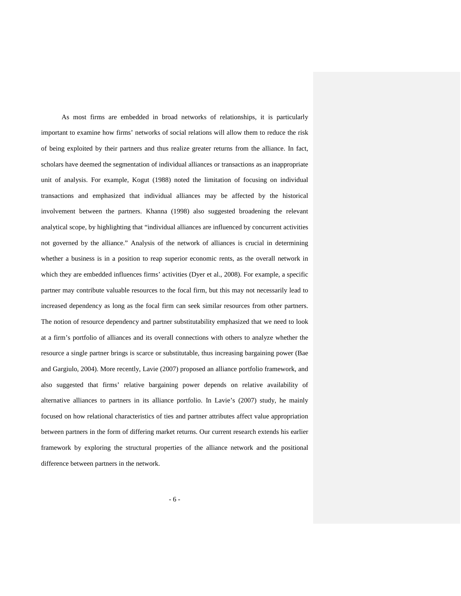As most firms are embedded in broad networks of relationships, it is particularly important to examine how firms' networks of social relations will allow them to reduce the risk of being exploited by their partners and thus realize greater returns from the alliance. In fact, scholars have deemed the segmentation of individual alliances or transactions as an inappropriate unit of analysis. For example, Kogut (1988) noted the limitation of focusing on individual transactions and emphasized that individual alliances may be affected by the historical involvement between the partners. Khanna (1998) also suggested broadening the relevant analytical scope, by highlighting that "individual alliances are influenced by concurrent activities not governed by the alliance." Analysis of the network of alliances is crucial in determining whether a business is in a position to reap superior economic rents, as the overall network in which they are embedded influences firms' activities (Dyer et al., 2008). For example, a specific partner may contribute valuable resources to the focal firm, but this may not necessarily lead to increased dependency as long as the focal firm can seek similar resources from other partners. The notion of resource dependency and partner substitutability emphasized that we need to look at a firm's portfolio of alliances and its overall connections with others to analyze whether the resource a single partner brings is scarce or substitutable, thus increasing bargaining power (Bae and Gargiulo, 2004). More recently, Lavie (2007) proposed an alliance portfolio framework, and also suggested that firms' relative bargaining power depends on relative availability of alternative alliances to partners in its alliance portfolio. In Lavie's (2007) study, he mainly focused on how relational characteristics of ties and partner attributes affect value appropriation between partners in the form of differing market returns. Our current research extends his earlier framework by exploring the structural properties of the alliance network and the positional difference between partners in the network.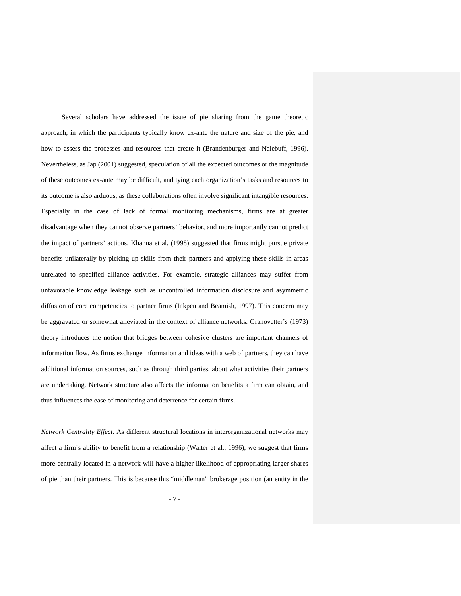Several scholars have addressed the issue of pie sharing from the game theoretic approach, in which the participants typically know ex-ante the nature and size of the pie, and how to assess the processes and resources that create it (Brandenburger and Nalebuff, 1996). Nevertheless, as Jap (2001) suggested, speculation of all the expected outcomes or the magnitude of these outcomes ex-ante may be difficult, and tying each organization's tasks and resources to its outcome is also arduous, as these collaborations often involve significant intangible resources. Especially in the case of lack of formal monitoring mechanisms, firms are at greater disadvantage when they cannot observe partners' behavior, and more importantly cannot predict the impact of partners' actions. Khanna et al. (1998) suggested that firms might pursue private benefits unilaterally by picking up skills from their partners and applying these skills in areas unrelated to specified alliance activities. For example, strategic alliances may suffer from unfavorable knowledge leakage such as uncontrolled information disclosure and asymmetric diffusion of core competencies to partner firms (Inkpen and Beamish, 1997). This concern may be aggravated or somewhat alleviated in the context of alliance networks. Granovetter's (1973) theory introduces the notion that bridges between cohesive clusters are important channels of information flow. As firms exchange information and ideas with a web of partners, they can have additional information sources, such as through third parties, about what activities their partners are undertaking. Network structure also affects the information benefits a firm can obtain, and thus influences the ease of monitoring and deterrence for certain firms.

*Network Centrality Effect*. As different structural locations in interorganizational networks may affect a firm's ability to benefit from a relationship (Walter et al., 1996), we suggest that firms more centrally located in a network will have a higher likelihood of appropriating larger shares of pie than their partners. This is because this "middleman" brokerage position (an entity in the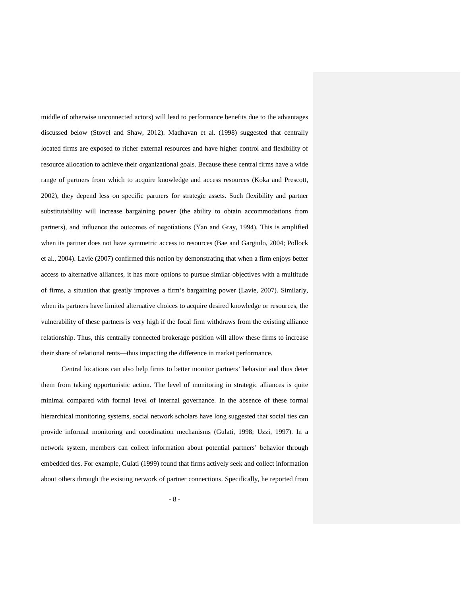middle of otherwise unconnected actors) will lead to performance benefits due to the advantages discussed below (Stovel and Shaw, 2012). Madhavan et al. (1998) suggested that centrally located firms are exposed to richer external resources and have higher control and flexibility of resource allocation to achieve their organizational goals. Because these central firms have a wide range of partners from which to acquire knowledge and access resources (Koka and Prescott, 2002), they depend less on specific partners for strategic assets. Such flexibility and partner substitutability will increase bargaining power (the ability to obtain accommodations from partners), and influence the outcomes of negotiations (Yan and Gray, 1994). This is amplified when its partner does not have symmetric access to resources (Bae and Gargiulo, 2004; Pollock et al., 2004). Lavie (2007) confirmed this notion by demonstrating that when a firm enjoys better access to alternative alliances, it has more options to pursue similar objectives with a multitude of firms, a situation that greatly improves a firm's bargaining power (Lavie, 2007). Similarly, when its partners have limited alternative choices to acquire desired knowledge or resources, the vulnerability of these partners is very high if the focal firm withdraws from the existing alliance relationship. Thus, this centrally connected brokerage position will allow these firms to increase their share of relational rents—thus impacting the difference in market performance.

Central locations can also help firms to better monitor partners' behavior and thus deter them from taking opportunistic action. The level of monitoring in strategic alliances is quite minimal compared with formal level of internal governance. In the absence of these formal hierarchical monitoring systems, social network scholars have long suggested that social ties can provide informal monitoring and coordination mechanisms (Gulati, 1998; Uzzi, 1997). In a network system, members can collect information about potential partners' behavior through embedded ties. For example, Gulati (1999) found that firms actively seek and collect information about others through the existing network of partner connections. Specifically, he reported from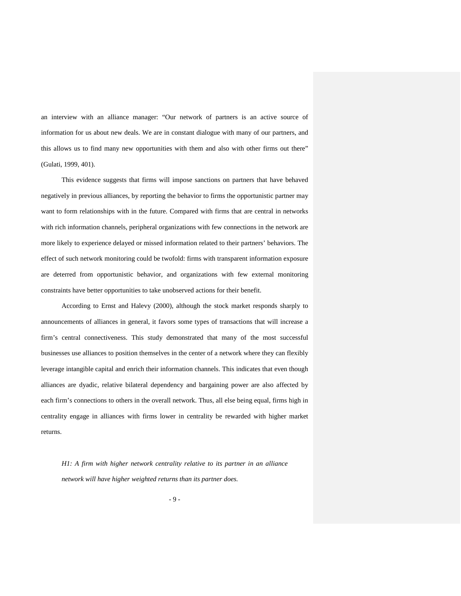an interview with an alliance manager: "Our network of partners is an active source of information for us about new deals. We are in constant dialogue with many of our partners, and this allows us to find many new opportunities with them and also with other firms out there" (Gulati, 1999, 401).

This evidence suggests that firms will impose sanctions on partners that have behaved negatively in previous alliances, by reporting the behavior to firms the opportunistic partner may want to form relationships with in the future. Compared with firms that are central in networks with rich information channels, peripheral organizations with few connections in the network are more likely to experience delayed or missed information related to their partners' behaviors. The effect of such network monitoring could be twofold: firms with transparent information exposure are deterred from opportunistic behavior, and organizations with few external monitoring constraints have better opportunities to take unobserved actions for their benefit.

According to Ernst and Halevy (2000), although the stock market responds sharply to announcements of alliances in general, it favors some types of transactions that will increase a firm's central connectiveness. This study demonstrated that many of the most successful businesses use alliances to position themselves in the center of a network where they can flexibly leverage intangible capital and enrich their information channels. This indicates that even though alliances are dyadic, relative bilateral dependency and bargaining power are also affected by each firm's connections to others in the overall network. Thus, all else being equal, firms high in centrality engage in alliances with firms lower in centrality be rewarded with higher market returns.

*H1: A firm with higher network centrality relative to its partner in an alliance network will have higher weighted returns than its partner does.*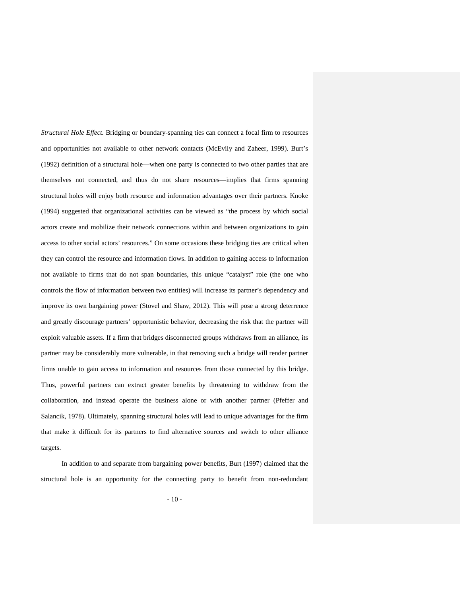*Structural Hole Effect.* Bridging or boundary-spanning ties can connect a focal firm to resources and opportunities not available to other network contacts (McEvily and Zaheer, 1999). Burt's (1992) definition of a structural hole—when one party is connected to two other parties that are themselves not connected, and thus do not share resources—implies that firms spanning structural holes will enjoy both resource and information advantages over their partners. Knoke (1994) suggested that organizational activities can be viewed as "the process by which social actors create and mobilize their network connections within and between organizations to gain access to other social actors' resources." On some occasions these bridging ties are critical when they can control the resource and information flows. In addition to gaining access to information not available to firms that do not span boundaries, this unique "catalyst" role (the one who controls the flow of information between two entities) will increase its partner's dependency and improve its own bargaining power (Stovel and Shaw, 2012). This will pose a strong deterrence and greatly discourage partners' opportunistic behavior, decreasing the risk that the partner will exploit valuable assets. If a firm that bridges disconnected groups withdraws from an alliance, its partner may be considerably more vulnerable, in that removing such a bridge will render partner firms unable to gain access to information and resources from those connected by this bridge. Thus, powerful partners can extract greater benefits by threatening to withdraw from the collaboration, and instead operate the business alone or with another partner (Pfeffer and Salancik, 1978). Ultimately, spanning structural holes will lead to unique advantages for the firm that make it difficult for its partners to find alternative sources and switch to other alliance targets.

In addition to and separate from bargaining power benefits, Burt (1997) claimed that the structural hole is an opportunity for the connecting party to benefit from non-redundant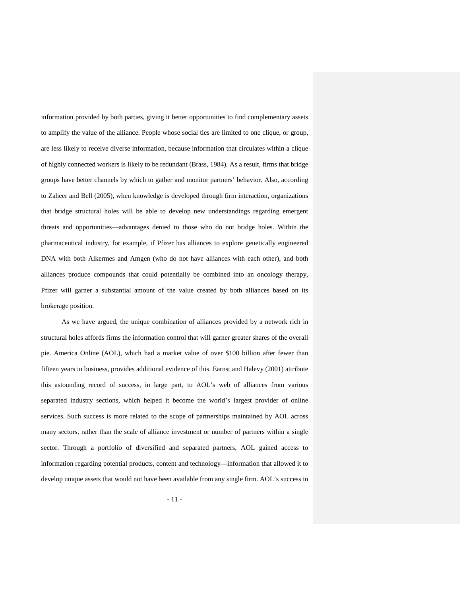information provided by both parties, giving it better opportunities to find complementary assets to amplify the value of the alliance. People whose social ties are limited to one clique, or group, are less likely to receive diverse information, because information that circulates within a clique of highly connected workers is likely to be redundant (Brass, 1984). As a result, firms that bridge groups have better channels by which to gather and monitor partners' behavior. Also, according to Zaheer and Bell (2005), when knowledge is developed through firm interaction, organizations that bridge structural holes will be able to develop new understandings regarding emergent threats and opportunities—advantages denied to those who do not bridge holes. Within the pharmaceutical industry, for example, if Pfizer has alliances to explore genetically engineered DNA with both Alkermes and Amgen (who do not have alliances with each other), and both alliances produce compounds that could potentially be combined into an oncology therapy, Pfizer will garner a substantial amount of the value created by both alliances based on its brokerage position.

As we have argued, the unique combination of alliances provided by a network rich in structural holes affords firms the information control that will garner greater shares of the overall pie. America Online (AOL), which had a market value of over \$100 billion after fewer than fifteen years in business, provides additional evidence of this. Earnst and Halevy (2001) attribute this astounding record of success, in large part, to AOL's web of alliances from various separated industry sections, which helped it become the world's largest provider of online services. Such success is more related to the scope of partnerships maintained by AOL across many sectors, rather than the scale of alliance investment or number of partners within a single sector. Through a portfolio of diversified and separated partners, AOL gained access to information regarding potential products, content and technology—information that allowed it to develop unique assets that would not have been available from any single firm. AOL's success in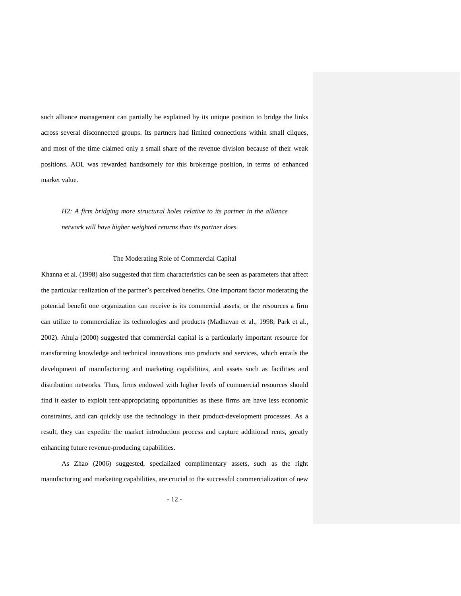such alliance management can partially be explained by its unique position to bridge the links across several disconnected groups. Its partners had limited connections within small cliques, and most of the time claimed only a small share of the revenue division because of their weak positions. AOL was rewarded handsomely for this brokerage position, in terms of enhanced market value.

## *H2: A firm bridging more structural holes relative to its partner in the alliance network will have higher weighted returns than its partner does.*

#### The Moderating Role of Commercial Capital

Khanna et al. (1998) also suggested that firm characteristics can be seen as parameters that affect the particular realization of the partner's perceived benefits. One important factor moderating the potential benefit one organization can receive is its commercial assets, or the resources a firm can utilize to commercialize its technologies and products (Madhavan et al., 1998; Park et al., 2002). Ahuja (2000) suggested that commercial capital is a particularly important resource for transforming knowledge and technical innovations into products and services, which entails the development of manufacturing and marketing capabilities, and assets such as facilities and distribution networks. Thus, firms endowed with higher levels of commercial resources should find it easier to exploit rent-appropriating opportunities as these firms are have less economic constraints, and can quickly use the technology in their product-development processes. As a result, they can expedite the market introduction process and capture additional rents, greatly enhancing future revenue-producing capabilities.

As Zhao (2006) suggested, specialized complimentary assets, such as the right manufacturing and marketing capabilities, are crucial to the successful commercialization of new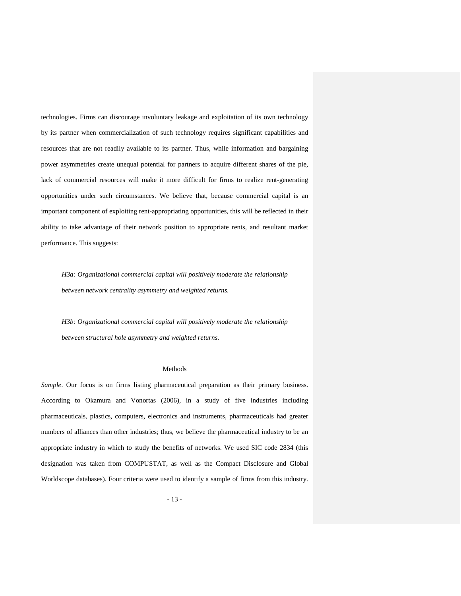technologies. Firms can discourage involuntary leakage and exploitation of its own technology by its partner when commercialization of such technology requires significant capabilities and resources that are not readily available to its partner. Thus, while information and bargaining power asymmetries create unequal potential for partners to acquire different shares of the pie, lack of commercial resources will make it more difficult for firms to realize rent-generating opportunities under such circumstances. We believe that, because commercial capital is an important component of exploiting rent-appropriating opportunities, this will be reflected in their ability to take advantage of their network position to appropriate rents, and resultant market performance. This suggests:

*H3a: Organizational commercial capital will positively moderate the relationship between network centrality asymmetry and weighted returns.*

*H3b: Organizational commercial capital will positively moderate the relationship between structural hole asymmetry and weighted returns.*

#### Methods

*Sample*. Our focus is on firms listing pharmaceutical preparation as their primary business. According to Okamura and Vonortas (2006), in a study of five industries including pharmaceuticals, plastics, computers, electronics and instruments, pharmaceuticals had greater numbers of alliances than other industries; thus, we believe the pharmaceutical industry to be an appropriate industry in which to study the benefits of networks. We used SIC code 2834 (this designation was taken from COMPUSTAT, as well as the Compact Disclosure and Global Worldscope databases). Four criteria were used to identify a sample of firms from this industry.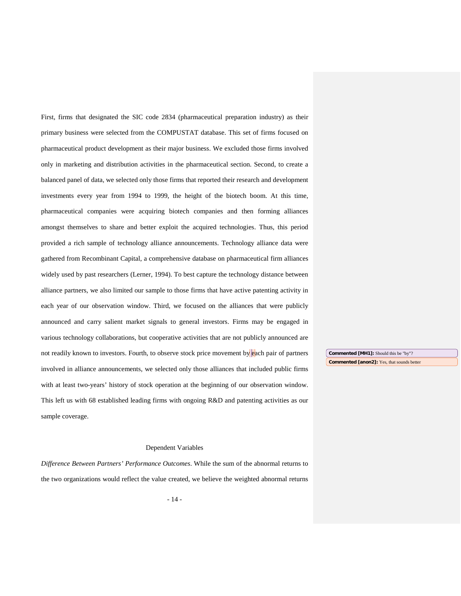First, firms that designated the SIC code 2834 (pharmaceutical preparation industry) as their primary business were selected from the COMPUSTAT database. This set of firms focused on pharmaceutical product development as their major business. We excluded those firms involved only in marketing and distribution activities in the pharmaceutical section. Second, to create a balanced panel of data, we selected only those firms that reported their research and development investments every year from 1994 to 1999, the height of the biotech boom. At this time, pharmaceutical companies were acquiring biotech companies and then forming alliances amongst themselves to share and better exploit the acquired technologies. Thus, this period provided a rich sample of technology alliance announcements. Technology alliance data were gathered from Recombinant Capital, a comprehensive database on pharmaceutical firm alliances widely used by past researchers (Lerner, 1994). To best capture the technology distance between alliance partners, we also limited our sample to those firms that have active patenting activity in each year of our observation window. Third, we focused on the alliances that were publicly announced and carry salient market signals to general investors. Firms may be engaged in various technology collaborations, but cooperative activities that are not publicly announced are not readily known to investors. Fourth, to observe stock price movement by each pair of partners involved in alliance announcements, we selected only those alliances that included public firms with at least two-years' history of stock operation at the beginning of our observation window. This left us with 68 established leading firms with ongoing R&D and patenting activities as our sample coverage.

#### Dependent Variables

*Difference Between Partners' Performance Outcomes*. While the sum of the abnormal returns to the two organizations would reflect the value created, we believe the weighted abnormal returns **Commented [MH1]:** Should this be "by"? **Commented [anon2]:** Yes, that sounds better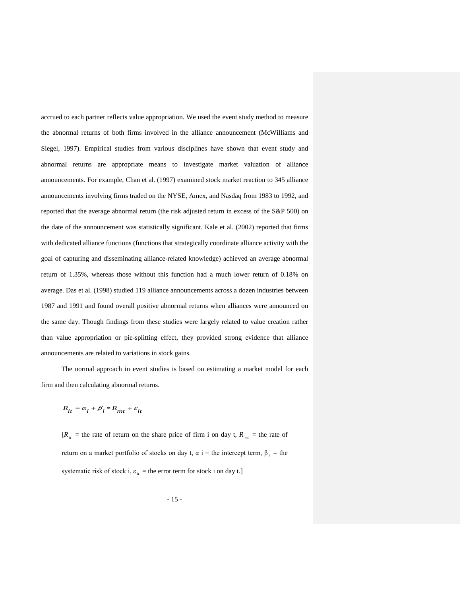accrued to each partner reflects value appropriation. We used the event study method to measure the abnormal returns of both firms involved in the alliance announcement (McWilliams and Siegel, 1997). Empirical studies from various disciplines have shown that event study and abnormal returns are appropriate means to investigate market valuation of alliance announcements. For example, Chan et al. (1997) examined stock market reaction to 345 alliance announcements involving firms traded on the NYSE, Amex, and Nasdaq from 1983 to 1992, and reported that the average abnormal return (the risk adjusted return in excess of the S&P 500) on the date of the announcement was statistically significant. Kale et al. (2002) reported that firms with dedicated alliance functions (functions that strategically coordinate alliance activity with the goal of capturing and disseminating alliance-related knowledge) achieved an average abnormal return of 1.35%, whereas those without this function had a much lower return of 0.18% on average. Das et al. (1998) studied 119 alliance announcements across a dozen industries between 1987 and 1991 and found overall positive abnormal returns when alliances were announced on the same day. Though findings from these studies were largely related to value creation rather than value appropriation or pie-splitting effect, they provided strong evidence that alliance announcements are related to variations in stock gains.

The normal approach in event studies is based on estimating a market model for each firm and then calculating abnormal returns.

$$
R_{it} = \alpha_i + \beta_i * R_{mt} + \varepsilon_{it}
$$

 $[R_{it} =$  the rate of return on the share price of firm i on day t,  $R_{mt} =$  the rate of return on a market portfolio of stocks on day t,  $\alpha$  i = the intercept term,  $\beta$ , = the systematic risk of stock i,  $\varepsilon$ <sub>*it*</sub> = the error term for stock i on day t.]

- 15 -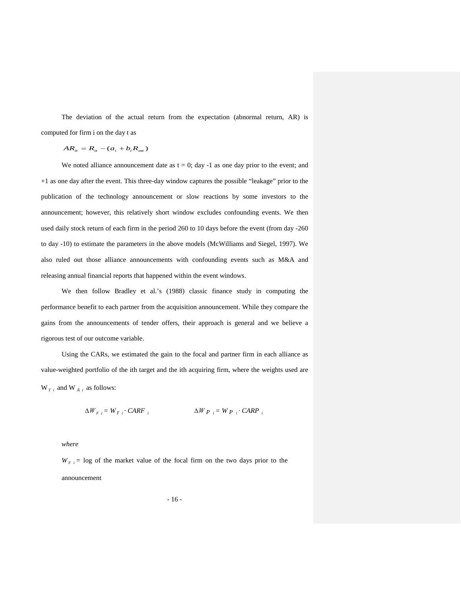The deviation of the actual return from the expectation (abnormal return, AR) is computed for firm i on the day t as

$$
AR_{it} = R_{it} - (a_i + b_i R_{mt})
$$

We noted alliance announcement date as  $t = 0$ ; day -1 as one day prior to the event; and +1 as one day after the event. This three-day window captures the possible "leakage" prior to the publication of the technology announcement or slow reactions by some investors to the announcement; however, this relatively short window excludes confounding events. We then used daily stock return of each firm in the period 260 to 10 days before the event (from day -260 to day -10) to estimate the parameters in the above models (McWilliams and Siegel, 1997). We also ruled out those alliance announcements with confounding events such as M&A and releasing annual financial reports that happened within the event windows.

We then follow Bradley et al.'s (1988) classic finance study in computing the performance benefit to each partner from the acquisition announcement. While they compare the gains from the announcements of tender offers, their approach is general and we believe a rigorous test of our outcome variable.

Using the CARs, we estimated the gain to the focal and partner firm in each alliance as value-weighted portfolio of the ith target and the ith acquiring firm, where the weights used are  $W_{T i}$  and  $W_{A i}$  as follows:

$$
\Delta W_{F i} = W_{F i} \cdot \text{CARF}_{i} \qquad \Delta W_{P i} = W_{P i} \cdot \text{CARP}_{i}
$$

*where*

 $W_{F,i}$  = log of the market value of the focal firm on the two days prior to the announcement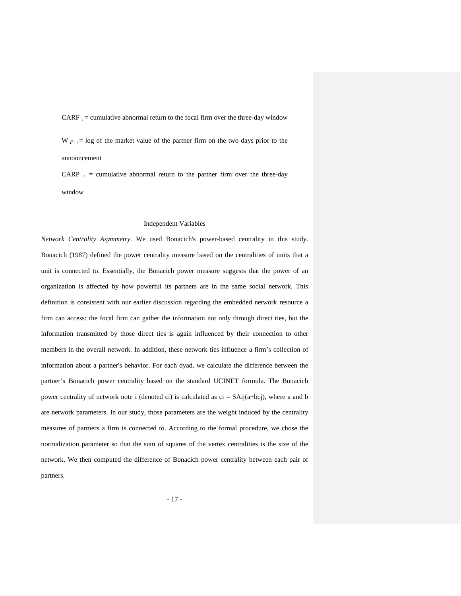CARF  $\mu$  = cumulative abnormal return to the focal firm over the three-day window W *<sub><i>i*</sub> = log of the market value of the partner firm on the two days prior to the announcement

CARP  $_i$  = cumulative abnormal return to the partner firm over the three-day window

#### Independent Variables

*Network Centrality Asymmetry*. We used Bonacich's power-based centrality in this study. Bonacich (1987) defined the power centrality measure based on the centralities of units that a unit is connected to. Essentially, the Bonacich power measure suggests that the power of an organization is affected by how powerful its partners are in the same social network. This definition is consistent with our earlier discussion regarding the embedded network resource a firm can access: the focal firm can gather the information not only through direct ties, but the information transmitted by those direct ties is again influenced by their connection to other members in the overall network. In addition, these network ties influence a firm's collection of information about a partner's behavior. For each dyad, we calculate the difference between the partner's Bonacich power centrality based on the standard UCINET formula. The Bonacich power centrality of network note i (denoted ci) is calculated as  $ci = SAij(a+bcj)$ , where a and b are network parameters. In our study, those parameters are the weight induced by the centrality measures of partners a firm is connected to. According to the formal procedure, we chose the normalization parameter so that the sum of squares of the vertex centralities is the size of the network. We then computed the difference of Bonacich power centrality between each pair of partners.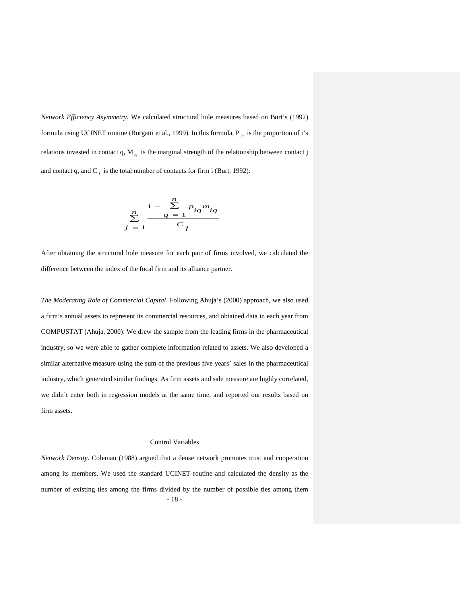*Network Efficiency Asymmetry.* We calculated structural hole measures based on Burt's (1992) formula using UCINET routine (Borgatti et al., 1999). In this formula, P<sub>iq</sub> is the proportion of i's relations invested in contact q,  $M_{iq}$  is the marginal strength of the relationship between contact j and contact q, and  $C_i$  is the total number of contacts for firm i (Burt, 1992).

$$
\sum_{j=1}^{n} \frac{1 - \sum_{q=1}^{n} p_{iq} m_{iq}}{C_j}
$$

After obtaining the structural hole measure for each pair of firms involved, we calculated the difference between the index of the focal firm and its alliance partner.

*The Moderating Role of Commercial Capital*. Following Ahuja's (2000) approach, we also used a firm's annual assets to represent its commercial resources, and obtained data in each year from COMPUSTAT (Ahuja, 2000). We drew the sample from the leading firms in the pharmaceutical industry, so we were able to gather complete information related to assets. We also developed a similar alternative measure using the sum of the previous five years' sales in the pharmaceutical industry, which generated similar findings. As firm assets and sale measure are highly correlated, we didn't enter both in regression models at the same time, and reported our results based on firm assets.

#### Control Variables

- 18 - *Network Density*. Coleman (1988) argued that a dense network promotes trust and cooperation among its members. We used the standard UCINET routine and calculated the density as the number of existing ties among the firms divided by the number of possible ties among them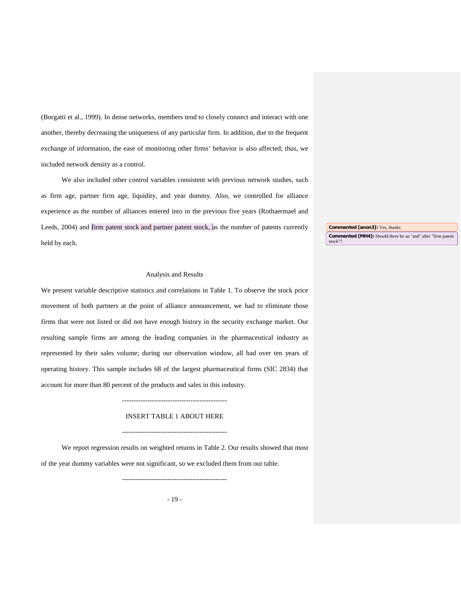(Borgatti et al., 1999). In dense networks, members tend to closely connect and interact with one another, thereby decreasing the uniqueness of any particular firm. In addition, due to the frequent exchange of information, the ease of monitoring other firms' behavior is also affected; thus, we included network density as a control.

We also included other control variables consistent with previous network studies, such as firm age, partner firm age, liquidity, and year dummy. Also, we controlled for alliance experience as the number of alliances entered into in the previous five years (Rothaermael and Leeds, 2004) and firm patent stock and partner patent stock, as the number of patents currently held by each.

#### Analysis and Results

We present variable descriptive statistics and correlations in Table 1. To observe the stock price movement of both partners at the point of alliance announcement, we had to eliminate those firms that were not listed or did not have enough history in the security exchange market. Our resulting sample firms are among the leading companies in the pharmaceutical industry as represented by their sales volume; during our observation window, all had over ten years of operating history. This sample includes 68 of the largest pharmaceutical firms (SIC 2834) that account for more than 80 percent of the products and sales in this industry.

## INSERT TABLE 1 ABOUT HERE ----------------------------------------------

We report regression results on weighted returns in Table 2. Our results showed that most of the year dummy variables were not significant, so we excluded them from our table.

----------------------------------------------

- 19 -

#### **Commented [anon3]:** Yes, thanks **Commented [MH4]:** Should there be an "and" after "firm patent

stock"?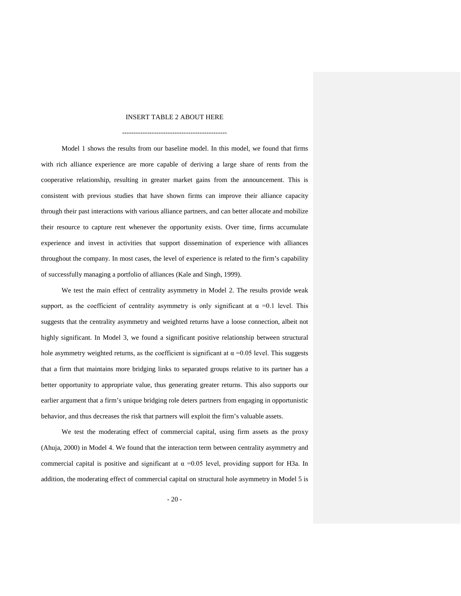#### INSERT TABLE 2 ABOUT HERE

----------------------------------------------

Model 1 shows the results from our baseline model. In this model, we found that firms with rich alliance experience are more capable of deriving a large share of rents from the cooperative relationship, resulting in greater market gains from the announcement. This is consistent with previous studies that have shown firms can improve their alliance capacity through their past interactions with various alliance partners, and can better allocate and mobilize their resource to capture rent whenever the opportunity exists. Over time, firms accumulate experience and invest in activities that support dissemination of experience with alliances throughout the company. In most cases, the level of experience is related to the firm's capability of successfully managing a portfolio of alliances (Kale and Singh, 1999).

We test the main effect of centrality asymmetry in Model 2. The results provide weak support, as the coefficient of centrality asymmetry is only significant at  $\alpha =0.1$  level. This suggests that the centrality asymmetry and weighted returns have a loose connection, albeit not highly significant. In Model 3, we found a significant positive relationship between structural hole asymmetry weighted returns, as the coefficient is significant at  $\alpha$  =0.05 level. This suggests that a firm that maintains more bridging links to separated groups relative to its partner has a better opportunity to appropriate value, thus generating greater returns. This also supports our earlier argument that a firm's unique bridging role deters partners from engaging in opportunistic behavior, and thus decreases the risk that partners will exploit the firm's valuable assets.

We test the moderating effect of commercial capital, using firm assets as the proxy (Ahuja, 2000) in Model 4. We found that the interaction term between centrality asymmetry and commercial capital is positive and significant at  $\alpha$  =0.05 level, providing support for H3a. In addition, the moderating effect of commercial capital on structural hole asymmetry in Model 5 is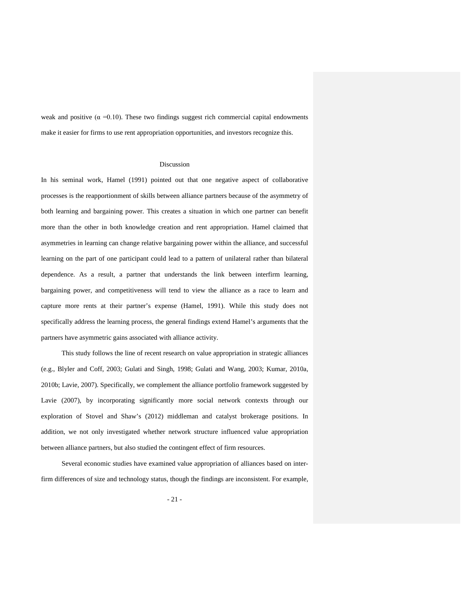weak and positive ( $\alpha = 0.10$ ). These two findings suggest rich commercial capital endowments make it easier for firms to use rent appropriation opportunities, and investors recognize this.

#### Discussion

In his seminal work, Hamel (1991) pointed out that one negative aspect of collaborative processes is the reapportionment of skills between alliance partners because of the asymmetry of both learning and bargaining power. This creates a situation in which one partner can benefit more than the other in both knowledge creation and rent appropriation. Hamel claimed that asymmetries in learning can change relative bargaining power within the alliance, and successful learning on the part of one participant could lead to a pattern of unilateral rather than bilateral dependence. As a result, a partner that understands the link between interfirm learning, bargaining power, and competitiveness will tend to view the alliance as a race to learn and capture more rents at their partner's expense (Hamel, 1991). While this study does not specifically address the learning process, the general findings extend Hamel's arguments that the partners have asymmetric gains associated with alliance activity.

This study follows the line of recent research on value appropriation in strategic alliances (e.g., Blyler and Coff, 2003; Gulati and Singh, 1998; Gulati and Wang, 2003; Kumar, 2010a, 2010b; Lavie, 2007). Specifically, we complement the alliance portfolio framework suggested by Lavie (2007), by incorporating significantly more social network contexts through our exploration of Stovel and Shaw's (2012) middleman and catalyst brokerage positions. In addition, we not only investigated whether network structure influenced value appropriation between alliance partners, but also studied the contingent effect of firm resources.

Several economic studies have examined value appropriation of alliances based on interfirm differences of size and technology status, though the findings are inconsistent. For example,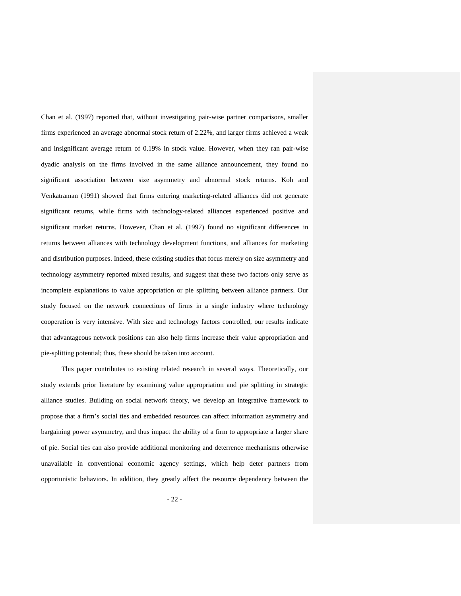Chan et al. (1997) reported that, without investigating pair-wise partner comparisons, smaller firms experienced an average abnormal stock return of 2.22%, and larger firms achieved a weak and insignificant average return of 0.19% in stock value. However, when they ran pair-wise dyadic analysis on the firms involved in the same alliance announcement, they found no significant association between size asymmetry and abnormal stock returns. Koh and Venkatraman (1991) showed that firms entering marketing-related alliances did not generate significant returns, while firms with technology-related alliances experienced positive and significant market returns. However, Chan et al. (1997) found no significant differences in returns between alliances with technology development functions, and alliances for marketing and distribution purposes. Indeed, these existing studies that focus merely on size asymmetry and technology asymmetry reported mixed results, and suggest that these two factors only serve as incomplete explanations to value appropriation or pie splitting between alliance partners. Our study focused on the network connections of firms in a single industry where technology cooperation is very intensive. With size and technology factors controlled, our results indicate that advantageous network positions can also help firms increase their value appropriation and pie-splitting potential; thus, these should be taken into account.

This paper contributes to existing related research in several ways. Theoretically, our study extends prior literature by examining value appropriation and pie splitting in strategic alliance studies. Building on social network theory, we develop an integrative framework to propose that a firm's social ties and embedded resources can affect information asymmetry and bargaining power asymmetry, and thus impact the ability of a firm to appropriate a larger share of pie. Social ties can also provide additional monitoring and deterrence mechanisms otherwise unavailable in conventional economic agency settings, which help deter partners from opportunistic behaviors. In addition, they greatly affect the resource dependency between the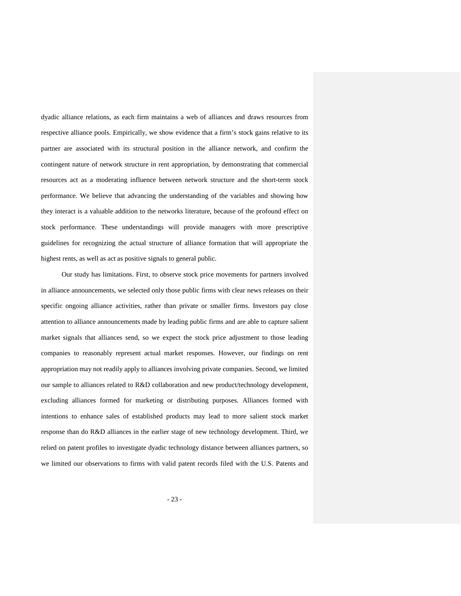dyadic alliance relations, as each firm maintains a web of alliances and draws resources from respective alliance pools. Empirically, we show evidence that a firm's stock gains relative to its partner are associated with its structural position in the alliance network, and confirm the contingent nature of network structure in rent appropriation, by demonstrating that commercial resources act as a moderating influence between network structure and the short-term stock performance. We believe that advancing the understanding of the variables and showing how they interact is a valuable addition to the networks literature, because of the profound effect on stock performance. These understandings will provide managers with more prescriptive guidelines for recognizing the actual structure of alliance formation that will appropriate the highest rents, as well as act as positive signals to general public.

Our study has limitations. First, to observe stock price movements for partners involved in alliance announcements, we selected only those public firms with clear news releases on their specific ongoing alliance activities, rather than private or smaller firms. Investors pay close attention to alliance announcements made by leading public firms and are able to capture salient market signals that alliances send, so we expect the stock price adjustment to those leading companies to reasonably represent actual market responses. However, our findings on rent appropriation may not readily apply to alliances involving private companies. Second, we limited our sample to alliances related to R&D collaboration and new product/technology development, excluding alliances formed for marketing or distributing purposes. Alliances formed with intentions to enhance sales of established products may lead to more salient stock market response than do R&D alliances in the earlier stage of new technology development. Third, we relied on patent profiles to investigate dyadic technology distance between alliances partners, so we limited our observations to firms with valid patent records filed with the U.S. Patents and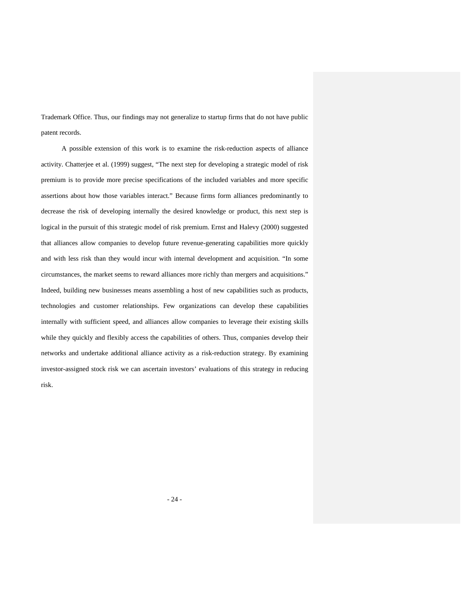Trademark Office. Thus, our findings may not generalize to startup firms that do not have public patent records.

A possible extension of this work is to examine the risk-reduction aspects of alliance activity. Chatterjee et al. (1999) suggest, "The next step for developing a strategic model of risk premium is to provide more precise specifications of the included variables and more specific assertions about how those variables interact." Because firms form alliances predominantly to decrease the risk of developing internally the desired knowledge or product, this next step is logical in the pursuit of this strategic model of risk premium. Ernst and Halevy (2000) suggested that alliances allow companies to develop future revenue-generating capabilities more quickly and with less risk than they would incur with internal development and acquisition. "In some circumstances, the market seems to reward alliances more richly than mergers and acquisitions." Indeed, building new businesses means assembling a host of new capabilities such as products, technologies and customer relationships. Few organizations can develop these capabilities internally with sufficient speed, and alliances allow companies to leverage their existing skills while they quickly and flexibly access the capabilities of others. Thus, companies develop their networks and undertake additional alliance activity as a risk-reduction strategy. By examining investor-assigned stock risk we can ascertain investors' evaluations of this strategy in reducing risk.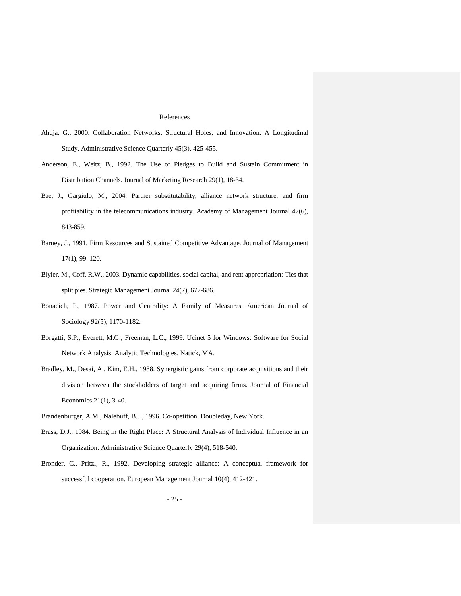#### References

- Ahuja, G., 2000. Collaboration Networks, Structural Holes, and Innovation: A Longitudinal Study. Administrative Science Quarterly 45(3), 425-455.
- Anderson, E., Weitz, B., 1992. The Use of Pledges to Build and Sustain Commitment in Distribution Channels. Journal of Marketing Research 29(1), 18-34.
- Bae, J., Gargiulo, M., 2004. Partner substitutability, alliance network structure, and firm profitability in the telecommunications industry. Academy of Management Journal 47(6), 843-859.
- Barney, J., 1991. Firm Resources and Sustained Competitive Advantage. Journal of Management 17(1), 99–120.
- Blyler, M., Coff, R.W., 2003. Dynamic capabilities, social capital, and rent appropriation: Ties that split pies. Strategic Management Journal 24(7), 677-686.
- Bonacich, P., 1987. Power and Centrality: A Family of Measures. American Journal of Sociology 92(5), 1170-1182.
- Borgatti, S.P., Everett, M.G., Freeman, L.C., 1999. Ucinet 5 for Windows: Software for Social Network Analysis. Analytic Technologies, Natick, MA.
- Bradley, M., Desai, A., Kim, E.H., 1988. Synergistic gains from corporate acquisitions and their division between the stockholders of target and acquiring firms. Journal of Financial Economics 21(1), 3-40.
- Brandenburger, A.M., Nalebuff, B.J., 1996. Co-opetition. Doubleday, New York.
- Brass, D.J., 1984. Being in the Right Place: A Structural Analysis of Individual Influence in an Organization. Administrative Science Quarterly 29(4), 518-540.
- Bronder, C., Pritzl, R., 1992. Developing strategic alliance: A conceptual framework for successful cooperation. European Management Journal 10(4), 412-421.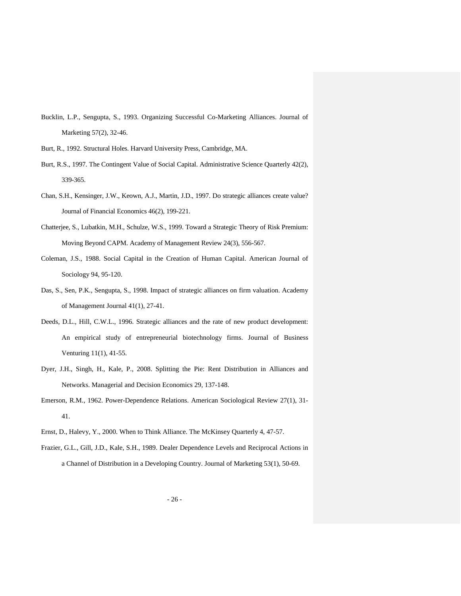- Bucklin, L.P., Sengupta, S., 1993. Organizing Successful Co-Marketing Alliances. Journal of Marketing 57(2), 32-46.
- Burt, R., 1992. Structural Holes. Harvard University Press, Cambridge, MA.
- Burt, R.S., 1997. The Contingent Value of Social Capital. Administrative Science Quarterly 42(2), 339-365.
- Chan, S.H., Kensinger, J.W., Keown, A.J., Martin, J.D., 1997. Do strategic alliances create value? Journal of Financial Economics 46(2), 199-221.
- Chatterjee, S., Lubatkin, M.H., Schulze, W.S., 1999. Toward a Strategic Theory of Risk Premium: Moving Beyond CAPM. Academy of Management Review 24(3), 556-567.
- Coleman, J.S., 1988. Social Capital in the Creation of Human Capital. American Journal of Sociology 94, 95-120.
- Das, S., Sen, P.K., Sengupta, S., 1998. Impact of strategic alliances on firm valuation. Academy of Management Journal 41(1), 27-41.
- Deeds, D.L., Hill, C.W.L., 1996. Strategic alliances and the rate of new product development: An empirical study of entrepreneurial biotechnology firms. Journal of Business Venturing 11(1), 41-55.
- Dyer, J.H., Singh, H., Kale, P., 2008. Splitting the Pie: Rent Distribution in Alliances and Networks. Managerial and Decision Economics 29, 137-148.
- Emerson, R.M., 1962. Power-Dependence Relations. American Sociological Review 27(1), 31- 41.
- Ernst, D., Halevy, Y., 2000. When to Think Alliance. The McKinsey Quarterly 4, 47-57.
- Frazier, G.L., Gill, J.D., Kale, S.H., 1989. Dealer Dependence Levels and Reciprocal Actions in a Channel of Distribution in a Developing Country. Journal of Marketing 53(1), 50-69.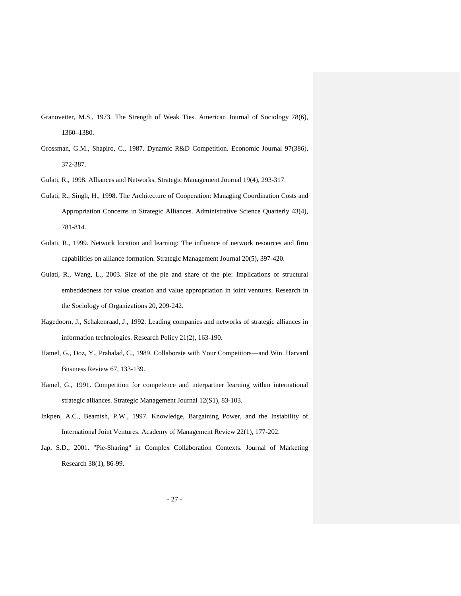- Granovetter, M.S., 1973. The Strength of Weak Ties. American Journal of Sociology 78(6), 1360–1380.
- Grossman, G.M., Shapiro, C., 1987. Dynamic R&D Competition. Economic Journal 97(386), 372-387.
- Gulati, R., 1998. Alliances and Networks. Strategic Management Journal 19(4), 293-317.
- Gulati, R., Singh, H., 1998. The Architecture of Cooperation: Managing Coordination Costs and Appropriation Concerns in Strategic Alliances. Administrative Science Quarterly 43(4), 781-814.
- Gulati, R., 1999. Network location and learning: The influence of network resources and firm capabilities on alliance formation. Strategic Management Journal 20(5), 397-420.
- Gulati, R., Wang, L., 2003. Size of the pie and share of the pie: Implications of structural embeddedness for value creation and value appropriation in joint ventures. Research in the Sociology of Organizations 20, 209-242.
- Hagedoorn, J., Schakenraad, J., 1992. Leading companies and networks of strategic alliances in information technologies. Research Policy 21(2), 163-190.
- Hamel, G., Doz, Y., Prahalad, C., 1989. Collaborate with Your Competitors—and Win. Harvard Business Review 67, 133-139.
- Hamel, G., 1991. Competition for competence and interpartner learning within international strategic alliances. Strategic Management Journal 12(S1), 83-103.
- Inkpen, A.C., Beamish, P.W., 1997. Knowledge, Bargaining Power, and the Instability of International Joint Ventures. Academy of Management Review 22(1), 177-202.
- Jap, S.D., 2001. "Pie-Sharing" in Complex Collaboration Contexts. Journal of Marketing Research 38(1), 86-99.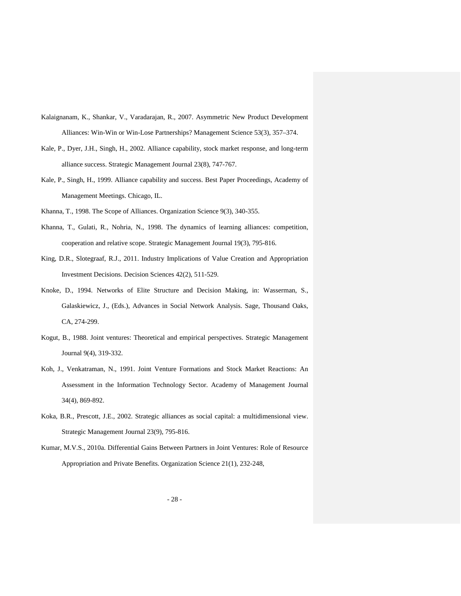- Kalaignanam, K., Shankar, V., Varadarajan, R., 2007. Asymmetric New Product Development Alliances: Win-Win or Win-Lose Partnerships? Management Science 53(3), 357–374.
- Kale, P., Dyer, J.H., Singh, H., 2002. Alliance capability, stock market response, and long-term alliance success. Strategic Management Journal 23(8), 747-767.
- Kale, P., Singh, H., 1999. Alliance capability and success. Best Paper Proceedings, Academy of Management Meetings. Chicago, IL.
- Khanna, T., 1998. The Scope of Alliances. Organization Science 9(3), 340-355.
- Khanna, T., Gulati, R., Nohria, N., 1998. The dynamics of learning alliances: competition, cooperation and relative scope. Strategic Management Journal 19(3), 795-816.
- King, D.R., Slotegraaf, R.J., 2011. Industry Implications of Value Creation and Appropriation Investment Decisions. Decision Sciences 42(2), 511-529.
- Knoke, D., 1994. Networks of Elite Structure and Decision Making, in: Wasserman, S., Galaskiewicz, J., (Eds.), Advances in Social Network Analysis. Sage, Thousand Oaks, CA, 274-299.
- Kogut, B., 1988. Joint ventures: Theoretical and empirical perspectives. Strategic Management Journal 9(4), 319-332.
- Koh, J., Venkatraman, N., 1991. Joint Venture Formations and Stock Market Reactions: An Assessment in the Information Technology Sector. Academy of Management Journal 34(4), 869-892.
- Koka, B.R., Prescott, J.E., 2002. Strategic alliances as social capital: a multidimensional view. Strategic Management Journal 23(9), 795-816.
- Kumar, M.V.S., 2010a. Differential Gains Between Partners in Joint Ventures: Role of Resource Appropriation and Private Benefits. Organization Science 21(1), 232-248,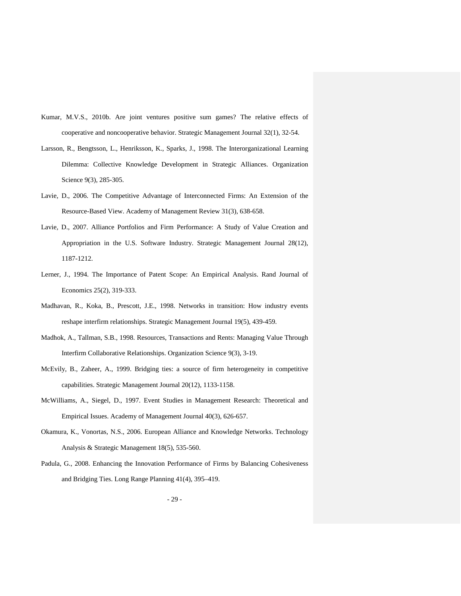- Kumar, M.V.S., 2010b. Are joint ventures positive sum games? The relative effects of cooperative and noncooperative behavior. Strategic Management Journal 32(1), 32-54.
- Larsson, R., Bengtsson, L., Henriksson, K., Sparks, J., 1998. The Interorganizational Learning Dilemma: Collective Knowledge Development in Strategic Alliances. Organization Science 9(3), 285-305.
- Lavie, D., 2006. The Competitive Advantage of Interconnected Firms: An Extension of the Resource-Based View. Academy of Management Review 31(3), 638-658.
- Lavie, D., 2007. Alliance Portfolios and Firm Performance: A Study of Value Creation and Appropriation in the U.S. Software Industry. Strategic Management Journal 28(12), 1187-1212.
- Lerner, J., 1994. The Importance of Patent Scope: An Empirical Analysis. Rand Journal of Economics 25(2), 319-333.
- Madhavan, R., Koka, B., Prescott, J.E., 1998. Networks in transition: How industry events reshape interfirm relationships. Strategic Management Journal 19(5), 439-459.
- Madhok, A., Tallman, S.B., 1998. Resources, Transactions and Rents: Managing Value Through Interfirm Collaborative Relationships. Organization Science 9(3), 3-19.
- McEvily, B., Zaheer, A., 1999. Bridging ties: a source of firm heterogeneity in competitive capabilities. Strategic Management Journal 20(12), 1133-1158.
- McWilliams, A., Siegel, D., 1997. Event Studies in Management Research: Theoretical and Empirical Issues. Academy of Management Journal 40(3), 626-657.
- Okamura, K., Vonortas, N.S., 2006. European Alliance and Knowledge Networks. Technology Analysis & Strategic Management 18(5), 535-560.
- Padula, G., 2008. Enhancing the Innovation Performance of Firms by Balancing Cohesiveness and Bridging Ties. Long Range Planning 41(4), 395–419.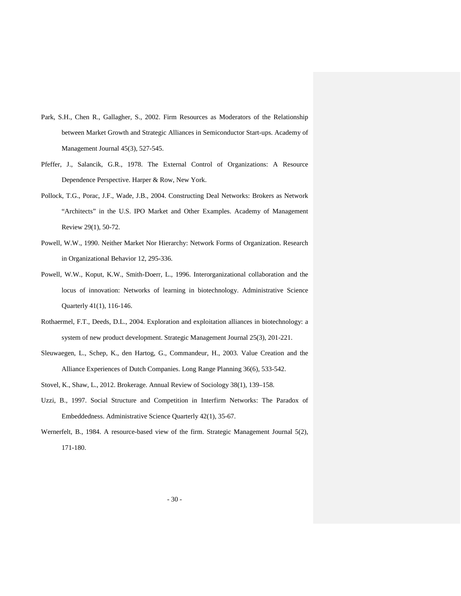- Park, S.H., Chen R., Gallagher, S., 2002. Firm Resources as Moderators of the Relationship between Market Growth and Strategic Alliances in Semiconductor Start-ups. Academy of Management Journal 45(3), 527-545.
- Pfeffer, J., Salancik, G.R., 1978. The External Control of Organizations: A Resource Dependence Perspective. Harper & Row, New York.
- Pollock, T.G., Porac, J.F., Wade, J.B., 2004. Constructing Deal Networks: Brokers as Network "Architects" in the U.S. IPO Market and Other Examples. Academy of Management Review 29(1), 50-72.
- Powell, W.W., 1990. Neither Market Nor Hierarchy: Network Forms of Organization. Research in Organizational Behavior 12, 295-336.
- Powell, W.W., Koput, K.W., Smith-Doerr, L., 1996. Interorganizational collaboration and the locus of innovation: Networks of learning in biotechnology. Administrative Science Quarterly 41(1), 116-146.
- Rothaermel, F.T., Deeds, D.L., 2004. Exploration and exploitation alliances in biotechnology: a system of new product development. Strategic Management Journal 25(3), 201-221.
- Sleuwaegen, L., Schep, K., den Hartog, G., Commandeur, H., 2003. Value Creation and the Alliance Experiences of Dutch Companies. Long Range Planning 36(6), 533-542.
- Stovel, K., Shaw, L., 2012. Brokerage. Annual Review of Sociology 38(1), 139–158.
- Uzzi, B., 1997. Social Structure and Competition in Interfirm Networks: The Paradox of Embeddedness. Administrative Science Quarterly 42(1), 35-67.
- Wernerfelt, B., 1984. A resource-based view of the firm. Strategic Management Journal 5(2), 171-180.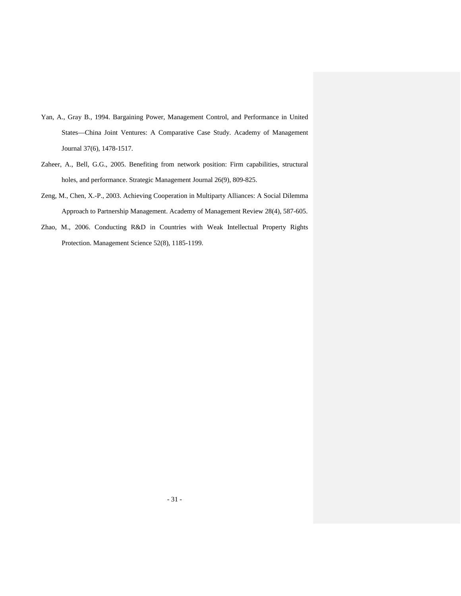- Yan, A., Gray B., 1994. Bargaining Power, Management Control, and Performance in United States—China Joint Ventures: A Comparative Case Study. Academy of Management Journal 37(6), 1478-1517.
- Zaheer, A., Bell, G.G., 2005. Benefiting from network position: Firm capabilities, structural holes, and performance. Strategic Management Journal 26(9), 809-825.
- Zeng, M., Chen, X.-P., 2003. Achieving Cooperation in Multiparty Alliances: A Social Dilemma Approach to Partnership Management. Academy of Management Review 28(4), 587-605.
- Zhao, M., 2006. Conducting R&D in Countries with Weak Intellectual Property Rights Protection. Management Science 52(8), 1185-1199.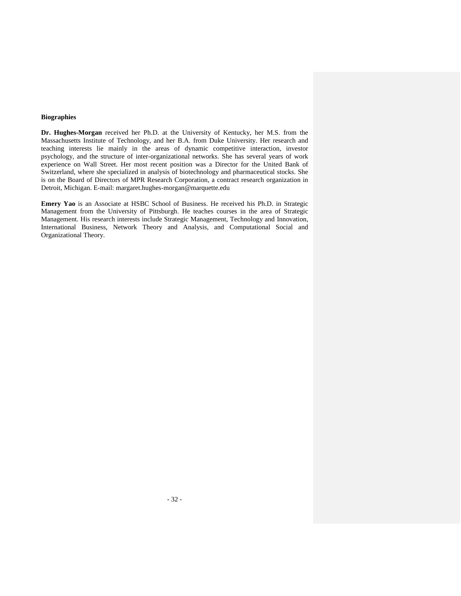#### **Biographies**

**Dr. Hughes-Morgan** received her Ph.D. at the University of Kentucky, her M.S. from the Massachusetts Institute of Technology, and her B.A. from Duke University. Her research and teaching interests lie mainly in the areas of dynamic competitive interaction, investor psychology, and the structure of inter-organizational networks. She has several years of work experience on Wall Street. Her most recent position was a Director for the United Bank of Switzerland, where she specialized in analysis of biotechnology and pharmaceutical stocks. She is on the Board of Directors of MPR Research Corporation, a contract research organization in Detroit, Michigan. E-mail: margaret.hughes-morgan@marquette.edu

**Emery Yao** is an Associate at HSBC School of Business. He received his Ph.D. in Strategic Management from the University of Pittsburgh. He teaches courses in the area of Strategic Management. His research interests include Strategic Management, Technology and Innovation, International Business, Network Theory and Analysis, and Computational Social and Organizational Theory.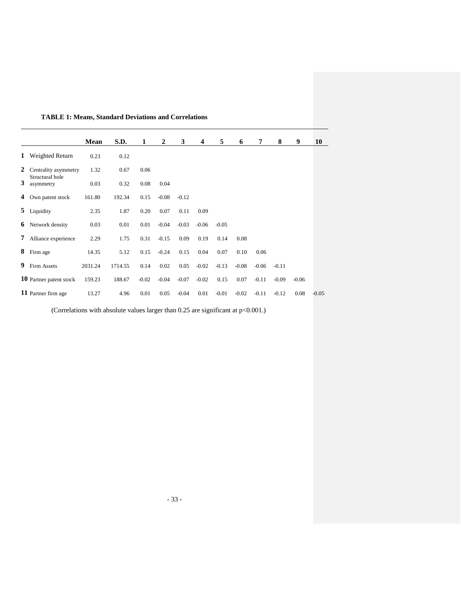|   |                              | Mean    | S.D.    | 1       | $\mathbf{2}$ | 3       | 4       | 5       | 6       | 7       | 8       | 9       | 10      |
|---|------------------------------|---------|---------|---------|--------------|---------|---------|---------|---------|---------|---------|---------|---------|
|   | 1 Weighted Return            | 0.23    | 0.12    |         |              |         |         |         |         |         |         |         |         |
|   | 2 Centrality asymmetry       | 1.32    | 0.67    | 0.06    |              |         |         |         |         |         |         |         |         |
| 3 | Structural hole<br>asymmetry | 0.03    | 0.32    | 0.08    | 0.04         |         |         |         |         |         |         |         |         |
|   | 4 Own patent stock           | 161.80  | 192.34  | 0.15    | $-0.08$      | $-0.12$ |         |         |         |         |         |         |         |
|   | 5 Liquidity                  | 2.35    | 1.87    | 0.20    | 0.07         | 0.11    | 0.09    |         |         |         |         |         |         |
|   | <b>6</b> Network density     | 0.03    | 0.01    | 0.01    | $-0.04$      | $-0.03$ | $-0.06$ | $-0.05$ |         |         |         |         |         |
|   | 7 Alliance experience        | 2.29    | 1.75    | 0.31    | $-0.15$      | 0.09    | 0.19    | 0.14    | 0.08    |         |         |         |         |
|   | 8 Firm age                   | 14.35   | 5.12    | 0.15    | $-0.24$      | 0.15    | 0.04    | 0.07    | 0.10    | 0.06    |         |         |         |
|   | 9 Firm Assets                | 2031.24 | 1714.55 | 0.14    | 0.02         | 0.05    | $-0.02$ | $-0.13$ | $-0.08$ | $-0.06$ | $-0.11$ |         |         |
|   | 10 Partner patent stock      | 159.23  | 188.67  | $-0.02$ | $-0.04$      | $-0.07$ | $-0.02$ | 0.15    | 0.07    | $-0.11$ | $-0.09$ | $-0.06$ |         |
|   | 11 Partner firm age          | 13.27   | 4.96    | 0.01    | 0.05         | $-0.04$ | 0.01    | $-0.01$ | $-0.02$ | $-0.11$ | $-0.12$ | 0.08    | $-0.05$ |

**TABLE 1: Means, Standard Deviations and Correlations**

(Correlations with absolute values larger than 0.25 are significant at p<0.001.)